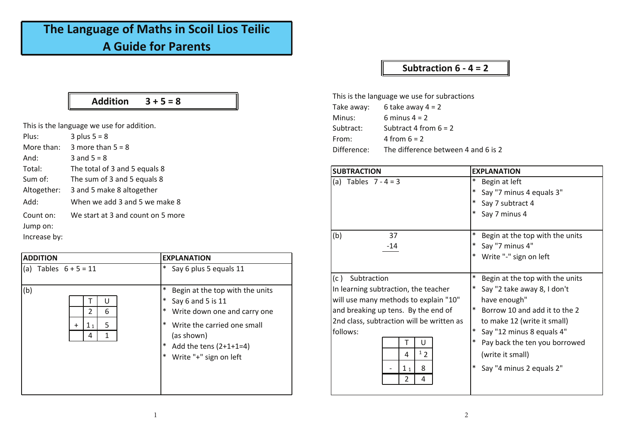## **The Language of Maths in Scoil Lios Teilic A Guide for Parents**

#### **Addition 3 + 5 = 8**

This is the language we use for addition.

| $3$ plus $5 = 8$                  | Plus:        |
|-----------------------------------|--------------|
| 3 more than $5 = 8$               | More than:   |
| 3 and $5 = 8$                     | And:         |
| The total of 3 and 5 equals 8     | Total:       |
| The sum of 3 and 5 equals 8       | Sum of:      |
| 3 and 5 make 8 altogether         | Altogether:  |
| When we add 3 and 5 we make 8     | Add:         |
| We start at 3 and count on 5 more | Count on:    |
|                                   | Jump on:     |
|                                   | Increase by: |

| <b>ADDITION</b>                                 | <b>EXPLANATION</b>                                                                                                                                                                                                             |
|-------------------------------------------------|--------------------------------------------------------------------------------------------------------------------------------------------------------------------------------------------------------------------------------|
| Tables $6 + 5 = 11$<br>$\mathsf{I}(\mathsf{a})$ | Say 6 plus 5 equals 11<br>  ≭                                                                                                                                                                                                  |
| (b)<br>υ<br>6<br>2<br>1 <sub>1</sub><br>4       | ∗<br>Begin at the top with the units<br>  ∗<br>Say 6 and 5 is 11<br>  *<br>Write down one and carry one<br> ∗<br>Write the carried one small<br>(as shown)<br>  *<br>Add the tens $(2+1+1=4)$<br>Write "+" sign on left<br>  ∗ |

#### **Subtraction 6 - 4 = 2**

This is the language we use for subractions Take away:  $6$  take away  $4 = 2$ **Minus:** 6 minus 4 = 2  $Subtract:$  **Subtract 4 from 6 = 2** From:  $4$  from 6 = 2 Difference: The difference between 4 and 6 is 2

| <b>SUBTRACTION</b>                        | <b>EXPLANATION</b>              |
|-------------------------------------------|---------------------------------|
| (a) Tables $7 - 4 = 3$                    | Begin at left                   |
|                                           | Say "7 minus 4 equals 3"        |
|                                           | Say 7 subtract 4                |
|                                           | Say 7 minus 4                   |
| (b)<br>37                                 | Begin at the top with the units |
| $-14$                                     | Say "7 minus 4"                 |
|                                           | Write "-" sign on left          |
| Subtraction<br>(c)                        | Begin at the top with the units |
| In learning subtraction, the teacher      | Say "2 take away 8, I don't     |
| will use many methods to explain "10"     | have enough"                    |
| and breaking up tens. By the end of       | Borrow 10 and add it to the 2   |
| 2nd class, subtraction will be written as | to make 12 (write it small)     |
| follows:                                  | Say "12 minus 8 equals 4"       |
| U                                         | Pay back the ten you borrowed   |
| 12                                        | (write it small)                |
| 8<br>1 <sub>1</sub>                       | Say "4 minus 2 equals 2"        |
| 4                                         |                                 |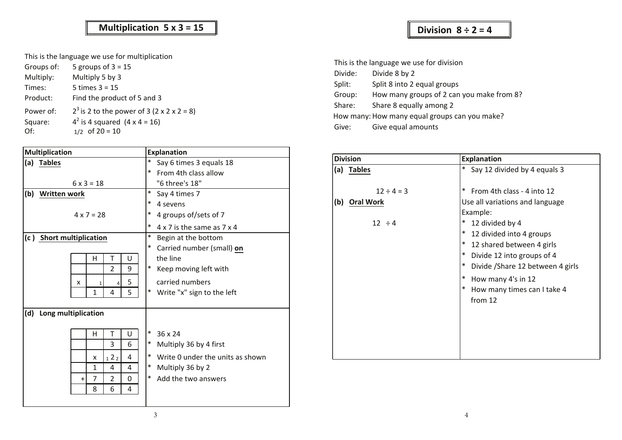### **Time Multiplication 5 x 3 = 15**

This is the language we use for multiplication

| Groups of: | 5 groups of $3 = 15$                         |
|------------|----------------------------------------------|
| Multiply:  | Multiply 5 by 3                              |
| Times:     | 5 times $3 = 15$                             |
| Product:   | Find the product of 5 and 3                  |
| Power of:  | $2^3$ is 2 to the power of 3 (2 x 2 x 2 = 8) |
| Square:    | $4^2$ is 4 squared $(4 \times 4 = 16)$       |
| Of:        | $1/2$ of $20 = 10$                           |

|              | Multiplication                                                                                                                                                                              | <b>Explanation</b>                                                                                                                                                   |  |
|--------------|---------------------------------------------------------------------------------------------------------------------------------------------------------------------------------------------|----------------------------------------------------------------------------------------------------------------------------------------------------------------------|--|
|              | (a) Tables<br>$6 \times 3 = 18$                                                                                                                                                             | Say 6 times 3 equals 18<br>$\ast$<br>From 4th class allow<br>"6 three's 18"                                                                                          |  |
|              | (b) Written work<br>$4 \times 7 = 28$                                                                                                                                                       | $\ast$<br>Say 4 times 7<br>$\ast$<br>4 sevens<br>$\ast$<br>4 groups of/sets of 7<br>$*$ 4 x 7 is the same as 7 x 4                                                   |  |
|              | (c) Short multiplication<br>U<br>H<br>$\overline{2}$<br>9<br>5<br>X<br>5 <sub>1</sub><br>$\mathbf{1}$<br>4                                                                                  | $\ast$<br>Begin at the bottom<br>$\ast$<br>Carried number (small) on<br>the line<br>$\ast$<br>Keep moving left with<br>carried numbers<br>Write "x" sign to the left |  |
| $\mathsf{d}$ | Long multiplication<br>$\cup$<br>H<br>3<br>6<br>122<br>$\overline{4}$<br>$\boldsymbol{\mathsf{x}}$<br>$\mathbf{1}$<br>4<br>4<br>$\overline{7}$<br>$\overline{2}$<br>$\Omega$<br>8<br>6<br>4 | $\ast$<br>36 x 24<br>$*$ Multiply 36 by 4 first<br>$\ast$<br>Write 0 under the units as shown<br>* Multiply 36 by 2<br>$\ast$<br>Add the two answers                 |  |

| This is the language we use for division |                                                                                    |  |
|------------------------------------------|------------------------------------------------------------------------------------|--|
| Divide:                                  | Divide 8 by 2                                                                      |  |
| Split:                                   | Split 8 into 2 equal groups<br>How many groups of 2 can you make from 8?<br>Group: |  |
|                                          |                                                                                    |  |
| Share:                                   | Share 8 equally among 2                                                            |  |
|                                          | How many: How many equal groups can you make?                                      |  |
| Give equal amounts<br>Give:              |                                                                                    |  |

**Division**  $8 \div 2 = 4$ 

| <b>Division</b> |                 | <b>Explanation</b>                |
|-----------------|-----------------|-----------------------------------|
|                 | $(a)$ Tables    | Say 12 divided by 4 equals 3      |
|                 | $12 \div 4 = 3$ | From 4th class - 4 into 12<br>∣∗  |
|                 | $(b)$ Oral Work | Use all variations and language   |
|                 |                 | Example:                          |
|                 | $12 \div 4$     | 12 divided by 4                   |
|                 |                 | 12 divided into 4 groups          |
|                 |                 | 12 shared between 4 girls         |
|                 |                 | Divide 12 into groups of 4        |
|                 |                 | Divide / Share 12 between 4 girls |
|                 |                 | How many 4's in 12                |
|                 |                 | How many times can I take 4       |
|                 |                 | from 12                           |
|                 |                 |                                   |
|                 |                 |                                   |
|                 |                 |                                   |
|                 |                 |                                   |
|                 |                 |                                   |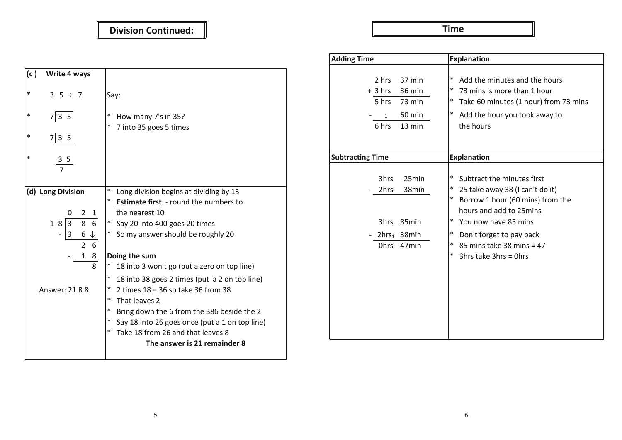### **Division 8 ÷ 2 = 4 Division Continued:**

**Time Multiplication 5 x 3 = 15**

| (c )   | Write 4 ways                     |                                                                                        |
|--------|----------------------------------|----------------------------------------------------------------------------------------|
| $\ast$ | $3\;5\div 7$                     | Say:                                                                                   |
| $\ast$ | $7 3\;5$                         | * How many 7's in 35?                                                                  |
| $\ast$ | $7 3\;5$                         | $\ast$<br>7 into 35 goes 5 times                                                       |
| $\ast$ | $\frac{3}{7}$                    |                                                                                        |
|        |                                  |                                                                                        |
|        | (d) Long Division                | Long division begins at dividing by 13<br><b>Estimate first</b> - round the numbers to |
|        | 2 <sub>1</sub><br>0              | the nearest 10                                                                         |
|        | 18 3<br>$8\overline{6}$          | Say 20 into 400 goes 20 times<br>$\ast$                                                |
|        | 3<br>$6\downarrow$<br>$2\quad 6$ | So my answer should be roughly 20                                                      |
|        | 18                               | Doing the sum                                                                          |
|        | 8                                | $\ast$<br>18 into 3 won't go (put a zero on top line)                                  |
|        |                                  | * 18 into 38 goes 2 times (put a 2 on top line)                                        |
|        | Answer: 21 R 8                   | $\ast$<br>2 times $18 = 36$ so take 36 from 38                                         |
|        |                                  | <sup>*</sup> That leaves 2                                                             |
|        |                                  | * Bring down the 6 from the 386 beside the 2                                           |
|        |                                  | $*$ Say 18 into 26 goes once (put a 1 on top line)                                     |
|        |                                  | * Take 18 from 26 and that leaves 8                                                    |
|        |                                  | The answer is 21 remainder 8                                                           |
|        |                                  |                                                                                        |

| <b>Adding Time</b>                                                                                              | <b>Explanation</b>                                                                                                                                                                                                                                                                                         |  |
|-----------------------------------------------------------------------------------------------------------------|------------------------------------------------------------------------------------------------------------------------------------------------------------------------------------------------------------------------------------------------------------------------------------------------------------|--|
| 2 hrs<br>37 min<br>$+3 hrs$<br>36 min<br>5 hrs<br>73 min<br>60 min<br>$\mathbf{1}$<br>$13 \text{ min}$<br>6 hrs | $\ast$<br>Add the minutes and the hours<br>* 73 mins is more than 1 hour<br>$\ast$<br>Take 60 minutes (1 hour) from 73 mins<br>$\ast$<br>Add the hour you took away to<br>the hours                                                                                                                        |  |
| <b>Subtracting Time</b>                                                                                         | <b>Explanation</b>                                                                                                                                                                                                                                                                                         |  |
| 3hrs<br>25min<br>2hrs<br>38min<br>3hrs 85min<br>2hrs <sub>1</sub> 38min<br>47min<br>Ohrs                        | ∗<br>Subtract the minutes first<br>25 take away 38 (I can't do it)<br>$\ast$<br>$\ast$<br>Borrow 1 hour (60 mins) from the<br>hours and add to 25mins<br>$\ast$<br>You now have 85 mins<br>$\ast$<br>Don't forget to pay back<br>$\ast$<br>85 mins take 38 mins = 47<br>$\ast$<br>3hrs take $3$ hrs = 0hrs |  |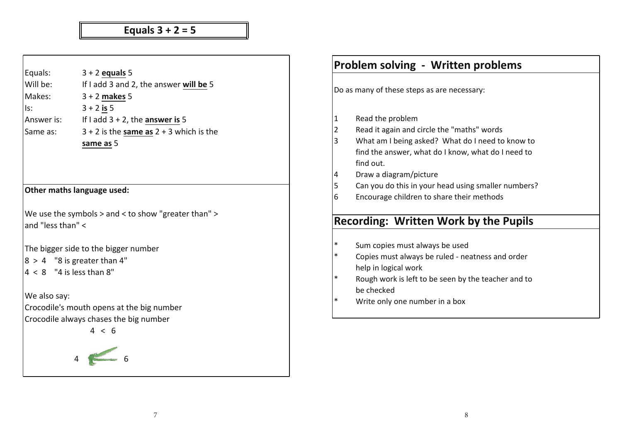# **Subtraction 6 - 4 = 2 Equals 3 + 2 = 5**

| Equals:           | $3 + 2$ equals 5                                                                    |
|-------------------|-------------------------------------------------------------------------------------|
| Will be:          | If I add 3 and 2, the answer will be 5                                              |
| Makes:            | $3 + 2$ makes 5                                                                     |
| Is:               | $3 + 2$ is 5                                                                        |
| Answer is:        | If I add $3 + 2$ , the answer is 5                                                  |
| Same as:          | $3 + 2$ is the same as $2 + 3$ which is the                                         |
|                   | same as 5                                                                           |
|                   |                                                                                     |
|                   |                                                                                     |
|                   |                                                                                     |
|                   | Other maths language used:                                                          |
|                   | We use the symbols > and < to show "greater than" >                                 |
| and "less than" < |                                                                                     |
|                   |                                                                                     |
|                   |                                                                                     |
|                   |                                                                                     |
|                   | The bigger side to the bigger number<br>$ 8 > 4$ "8 is greater than 4"              |
|                   | $ 4 < 8$ "4 is less than 8"                                                         |
|                   |                                                                                     |
| We also say:      |                                                                                     |
|                   | Crocodile's mouth opens at the big number<br>Crocodile always chases the big number |

|                | <b>Problem solving - Written problems</b>           |  |  |  |
|----------------|-----------------------------------------------------|--|--|--|
|                | Do as many of these steps as are necessary:         |  |  |  |
|                | Read the problem                                    |  |  |  |
| $\overline{2}$ | Read it again and circle the "maths" words          |  |  |  |
| 3              | What am I being asked? What do I need to know to    |  |  |  |
|                | find the answer, what do I know, what do I need to  |  |  |  |
|                | find out.                                           |  |  |  |
| 4              | Draw a diagram/picture                              |  |  |  |
| 5              | Can you do this in your head using smaller numbers? |  |  |  |
| 6              | Encourage children to share their methods           |  |  |  |
|                |                                                     |  |  |  |
|                | <b>Recording: Written Work by the Pupils</b>        |  |  |  |
|                |                                                     |  |  |  |
| $\ast$         | Sum copies must always be used                      |  |  |  |
| $\ast$         | Copies must always be ruled - neatness and order    |  |  |  |
|                | help in logical work                                |  |  |  |
| $\ast$         | Rough work is left to be seen by the teacher and to |  |  |  |
|                | be checked                                          |  |  |  |
| $\ast$         | Write only one number in a box                      |  |  |  |
|                |                                                     |  |  |  |
|                |                                                     |  |  |  |
|                |                                                     |  |  |  |
|                |                                                     |  |  |  |
|                |                                                     |  |  |  |